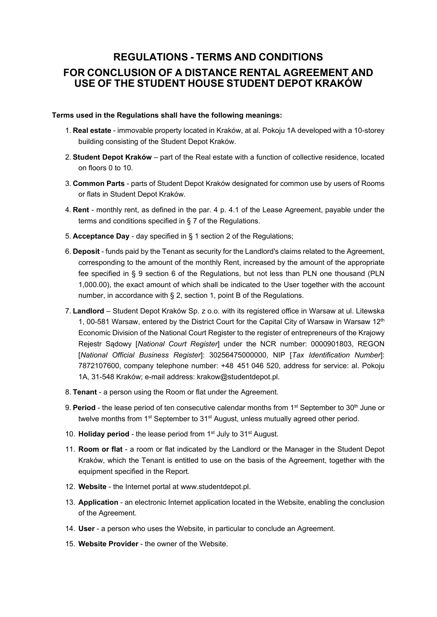# **REGULATIONS - TERMS AND CONDITIONS FOR CONCLUSION OF A DISTANCE RENTAL AGREEMENT AND USE OF THE STUDENT HOUSE STUDENT DEPOT KRAKÓW**

#### **Terms used in the Regulations shall have the following meanings:**

- 1. **Real estate** immovable property located in Kraków, at al. Pokoju 1A developed with a 10-storey building consisting of the Student Depot Kraków.
- 2. **Student Depot Kraków** part of the Real estate with a function of collective residence, located on floors 0 to 10.
- 3. **Common Parts** parts of Student Depot Kraków designated for common use by users of Rooms or flats in Student Depot Kraków.
- 4. **Rent** monthly rent, as defined in the par. 4 p. 4.1 of the Lease Agreement, payable under the terms and conditions specified in § 7 of the Regulations.
- 5. **Acceptance Day** day specified in § 1 section 2 of the Regulations;
- 6. **Deposit** funds paid by the Tenant as security for the Landlord's claims related to the Agreement, corresponding to the amount of the monthly Rent, increased by the amount of the appropriate fee specified in § 9 section 6 of the Regulations, but not less than PLN one thousand (PLN 1,000.00), the exact amount of which shall be indicated to the User together with the account number, in accordance with § 2, section 1, point B of the Regulations.
- 7. **Landlord** Student Depot Kraków Sp. z o.o. with its registered office in Warsaw at ul. Litewska 1, 00-581 Warsaw, entered by the District Court for the Capital City of Warsaw in Warsaw  $12<sup>th</sup>$ Economic Division of the National Court Register to the register of entrepreneurs of the Krajowy Rejestr Sądowy [*National Court Register*] under the NCR number: 0000901803, REGON [*National Official Business Register*]: 30256475000000, NIP [*Tax Identification Number*]: 7872107600, company telephone number: +48 451 046 520, address for service: al. Pokoju 1A, 31-548 Kraków; e-mail address: krakow@studentdepot.pl.
- 8. **Tenant**  a person using the Room or flat under the Agreement.
- 9. **Period** the lease period of ten consecutive calendar months from 1<sup>st</sup> September to 30<sup>th</sup> June or twelve months from 1<sup>st</sup> September to 31<sup>st</sup> August, unless mutually agreed other period.
- 10. **Holiday period** the lease period from 1st July to 31st August.
- 11. **Room or flat** a room or flat indicated by the Landlord or the Manager in the Student Depot Kraków, which the Tenant is entitled to use on the basis of the Agreement, together with the equipment specified in the Report.
- 12. **Website** the Internet portal at www.studentdepot.pl.
- 13. **Application** an electronic Internet application located in the Website, enabling the conclusion of the Agreement.
- 14. **User** a person who uses the Website, in particular to conclude an Agreement.
- 15. **Website Provider** the owner of the Website.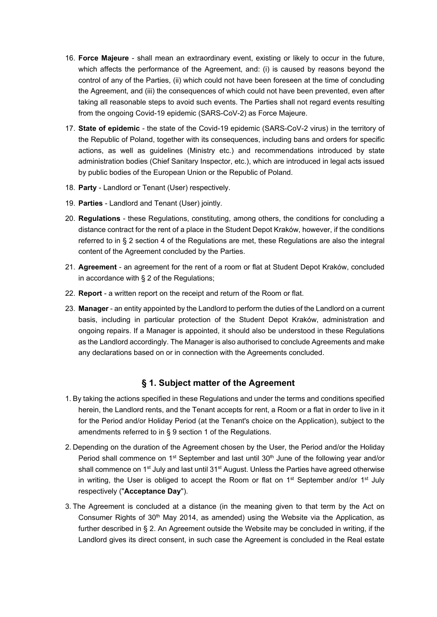- 16. **Force Majeure** shall mean an extraordinary event, existing or likely to occur in the future, which affects the performance of the Agreement, and: (i) is caused by reasons beyond the control of any of the Parties, (ii) which could not have been foreseen at the time of concluding the Agreement, and (iii) the consequences of which could not have been prevented, even after taking all reasonable steps to avoid such events. The Parties shall not regard events resulting from the ongoing Covid-19 epidemic (SARS-CoV-2) as Force Majeure.
- 17. **State of epidemic** the state of the Covid-19 epidemic (SARS-CoV-2 virus) in the territory of the Republic of Poland, together with its consequences, including bans and orders for specific actions, as well as guidelines (Ministry etc.) and recommendations introduced by state administration bodies (Chief Sanitary Inspector, etc.), which are introduced in legal acts issued by public bodies of the European Union or the Republic of Poland.
- 18. **Party** Landlord or Tenant (User) respectively.
- 19. **Parties** Landlord and Tenant (User) jointly.
- 20. **Regulations** these Regulations, constituting, among others, the conditions for concluding a distance contract for the rent of a place in the Student Depot Kraków, however, if the conditions referred to in § 2 section 4 of the Regulations are met, these Regulations are also the integral content of the Agreement concluded by the Parties.
- 21. **Agreement** an agreement for the rent of a room or flat at Student Depot Kraków, concluded in accordance with § 2 of the Regulations;
- 22. **Report** a written report on the receipt and return of the Room or flat.
- 23. **Manager** an entity appointed by the Landlord to perform the duties of the Landlord on a current basis, including in particular protection of the Student Depot Kraków, administration and ongoing repairs. If a Manager is appointed, it should also be understood in these Regulations as the Landlord accordingly. The Manager is also authorised to conclude Agreements and make any declarations based on or in connection with the Agreements concluded.

### **§ 1. Subject matter of the Agreement**

- 1. By taking the actions specified in these Regulations and under the terms and conditions specified herein, the Landlord rents, and the Tenant accepts for rent, a Room or a flat in order to live in it for the Period and/or Holiday Period (at the Tenant's choice on the Application), subject to the amendments referred to in § 9 section 1 of the Regulations.
- 2. Depending on the duration of the Agreement chosen by the User, the Period and/or the Holiday Period shall commence on 1<sup>st</sup> September and last until  $30<sup>th</sup>$  June of the following year and/or shall commence on  $1<sup>st</sup>$  July and last until  $31<sup>st</sup>$  August. Unless the Parties have agreed otherwise in writing, the User is obliged to accept the Room or flat on  $1<sup>st</sup>$  September and/or  $1<sup>st</sup>$  July respectively ("**Acceptance Day**").
- 3. The Agreement is concluded at a distance (in the meaning given to that term by the Act on Consumer Rights of  $30<sup>th</sup>$  May 2014, as amended) using the Website via the Application, as further described in § 2. An Agreement outside the Website may be concluded in writing, if the Landlord gives its direct consent, in such case the Agreement is concluded in the Real estate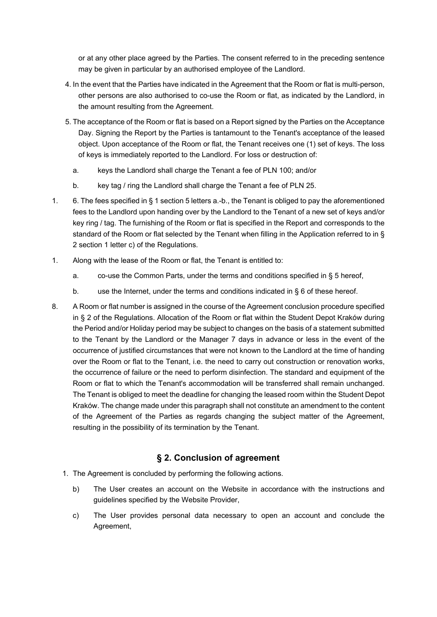or at any other place agreed by the Parties. The consent referred to in the preceding sentence may be given in particular by an authorised employee of the Landlord.

- 4. In the event that the Parties have indicated in the Agreement that the Room or flat is multi-person, other persons are also authorised to co-use the Room or flat, as indicated by the Landlord, in the amount resulting from the Agreement.
- 5. The acceptance of the Room or flat is based on a Report signed by the Parties on the Acceptance Day. Signing the Report by the Parties is tantamount to the Tenant's acceptance of the leased object. Upon acceptance of the Room or flat, the Tenant receives one (1) set of keys. The loss of keys is immediately reported to the Landlord. For loss or destruction of:
	- a. keys the Landlord shall charge the Tenant a fee of PLN 100; and/or
	- b. key tag / ring the Landlord shall charge the Tenant a fee of PLN 25.
- 1. 6. The fees specified in § 1 section 5 letters a.-b., the Tenant is obliged to pay the aforementioned fees to the Landlord upon handing over by the Landlord to the Tenant of a new set of keys and/or key ring / tag. The furnishing of the Room or flat is specified in the Report and corresponds to the standard of the Room or flat selected by the Tenant when filling in the Application referred to in § 2 section 1 letter c) of the Regulations.
- 1. Along with the lease of the Room or flat, the Tenant is entitled to:
	- a. co-use the Common Parts, under the terms and conditions specified in § 5 hereof,
	- b. use the Internet, under the terms and conditions indicated in  $\S 6$  of these hereof.
- 8. A Room or flat number is assigned in the course of the Agreement conclusion procedure specified in § 2 of the Regulations. Allocation of the Room or flat within the Student Depot Kraków during the Period and/or Holiday period may be subject to changes on the basis of a statement submitted to the Tenant by the Landlord or the Manager 7 days in advance or less in the event of the occurrence of justified circumstances that were not known to the Landlord at the time of handing over the Room or flat to the Tenant, i.e. the need to carry out construction or renovation works, the occurrence of failure or the need to perform disinfection. The standard and equipment of the Room or flat to which the Tenant's accommodation will be transferred shall remain unchanged. The Tenant is obliged to meet the deadline for changing the leased room within the Student Depot Kraków. The change made under this paragraph shall not constitute an amendment to the content of the Agreement of the Parties as regards changing the subject matter of the Agreement, resulting in the possibility of its termination by the Tenant.

### **§ 2. Conclusion of agreement**

- 1. The Agreement is concluded by performing the following actions.
	- b) The User creates an account on the Website in accordance with the instructions and guidelines specified by the Website Provider,
	- c) The User provides personal data necessary to open an account and conclude the Agreement,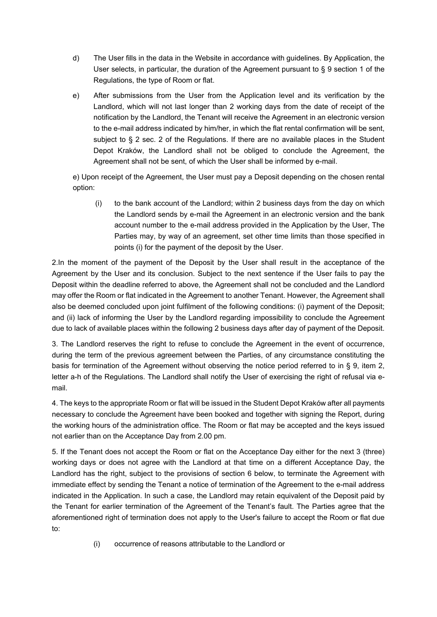- d) The User fills in the data in the Website in accordance with guidelines. By Application, the User selects, in particular, the duration of the Agreement pursuant to § 9 section 1 of the Regulations, the type of Room or flat.
- e) After submissions from the User from the Application level and its verification by the Landlord, which will not last longer than 2 working days from the date of receipt of the notification by the Landlord, the Tenant will receive the Agreement in an electronic version to the e-mail address indicated by him/her, in which the flat rental confirmation will be sent, subject to § 2 sec. 2 of the Regulations. If there are no available places in the Student Depot Kraków, the Landlord shall not be obliged to conclude the Agreement, the Agreement shall not be sent, of which the User shall be informed by e-mail.

e) Upon receipt of the Agreement, the User must pay a Deposit depending on the chosen rental option:

(i) to the bank account of the Landlord; within 2 business days from the day on which the Landlord sends by e-mail the Agreement in an electronic version and the bank account number to the e-mail address provided in the Application by the User, The Parties may, by way of an agreement, set other time limits than those specified in points (i) for the payment of the deposit by the User.

2.In the moment of the payment of the Deposit by the User shall result in the acceptance of the Agreement by the User and its conclusion. Subject to the next sentence if the User fails to pay the Deposit within the deadline referred to above, the Agreement shall not be concluded and the Landlord may offer the Room or flat indicated in the Agreement to another Tenant. However, the Agreement shall also be deemed concluded upon joint fulfilment of the following conditions: (i) payment of the Deposit; and (ii) lack of informing the User by the Landlord regarding impossibility to conclude the Agreement due to lack of available places within the following 2 business days after day of payment of the Deposit.

3. The Landlord reserves the right to refuse to conclude the Agreement in the event of occurrence, during the term of the previous agreement between the Parties, of any circumstance constituting the basis for termination of the Agreement without observing the notice period referred to in § 9, item 2, letter a-h of the Regulations. The Landlord shall notify the User of exercising the right of refusal via email.

4. The keys to the appropriate Room or flat will be issued in the Student Depot Kraków after all payments necessary to conclude the Agreement have been booked and together with signing the Report, during the working hours of the administration office. The Room or flat may be accepted and the keys issued not earlier than on the Acceptance Day from 2.00 pm.

5. If the Tenant does not accept the Room or flat on the Acceptance Day either for the next 3 (three) working days or does not agree with the Landlord at that time on a different Acceptance Day, the Landlord has the right, subject to the provisions of section 6 below, to terminate the Agreement with immediate effect by sending the Tenant a notice of termination of the Agreement to the e-mail address indicated in the Application. In such a case, the Landlord may retain equivalent of the Deposit paid by the Tenant for earlier termination of the Agreement of the Tenant's fault. The Parties agree that the aforementioned right of termination does not apply to the User's failure to accept the Room or flat due to:

(i) occurrence of reasons attributable to the Landlord or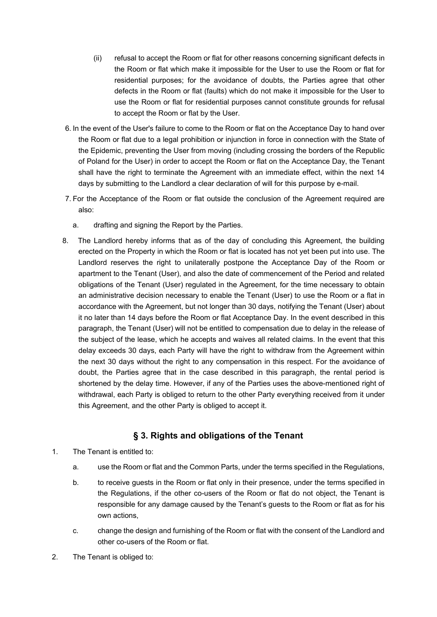- (ii) refusal to accept the Room or flat for other reasons concerning significant defects in the Room or flat which make it impossible for the User to use the Room or flat for residential purposes; for the avoidance of doubts, the Parties agree that other defects in the Room or flat (faults) which do not make it impossible for the User to use the Room or flat for residential purposes cannot constitute grounds for refusal to accept the Room or flat by the User.
- 6. In the event of the User's failure to come to the Room or flat on the Acceptance Day to hand over the Room or flat due to a legal prohibition or injunction in force in connection with the State of the Epidemic, preventing the User from moving (including crossing the borders of the Republic of Poland for the User) in order to accept the Room or flat on the Acceptance Day, the Tenant shall have the right to terminate the Agreement with an immediate effect, within the next 14 days by submitting to the Landlord a clear declaration of will for this purpose by e-mail.
- 7. For the Acceptance of the Room or flat outside the conclusion of the Agreement required are also:
	- a. drafting and signing the Report by the Parties.
- 8. The Landlord hereby informs that as of the day of concluding this Agreement, the building erected on the Property in which the Room or flat is located has not yet been put into use. The Landlord reserves the right to unilaterally postpone the Acceptance Day of the Room or apartment to the Tenant (User), and also the date of commencement of the Period and related obligations of the Tenant (User) regulated in the Agreement, for the time necessary to obtain an administrative decision necessary to enable the Tenant (User) to use the Room or a flat in accordance with the Agreement, but not longer than 30 days, notifying the Tenant (User) about it no later than 14 days before the Room or flat Acceptance Day. In the event described in this paragraph, the Tenant (User) will not be entitled to compensation due to delay in the release of the subject of the lease, which he accepts and waives all related claims. In the event that this delay exceeds 30 days, each Party will have the right to withdraw from the Agreement within the next 30 days without the right to any compensation in this respect. For the avoidance of doubt, the Parties agree that in the case described in this paragraph, the rental period is shortened by the delay time. However, if any of the Parties uses the above-mentioned right of withdrawal, each Party is obliged to return to the other Party everything received from it under this Agreement, and the other Party is obliged to accept it.

### **§ 3. Rights and obligations of the Tenant**

- 1. The Tenant is entitled to:
	- a. use the Room or flat and the Common Parts, under the terms specified in the Regulations,
	- b. to receive guests in the Room or flat only in their presence, under the terms specified in the Regulations, if the other co-users of the Room or flat do not object, the Tenant is responsible for any damage caused by the Tenant's guests to the Room or flat as for his own actions,
	- c. change the design and furnishing of the Room or flat with the consent of the Landlord and other co-users of the Room or flat.
- 2. The Tenant is obliged to: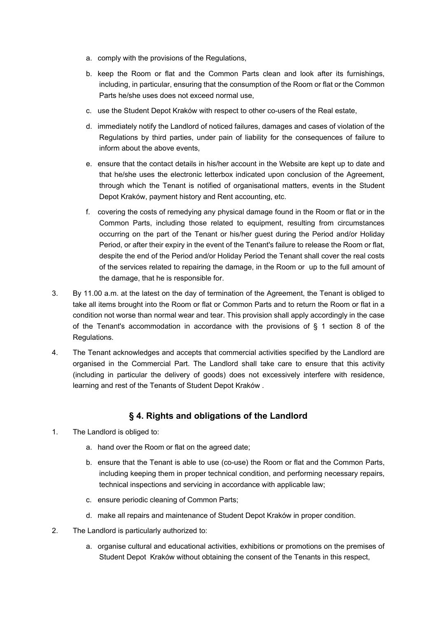- a. comply with the provisions of the Regulations,
- b. keep the Room or flat and the Common Parts clean and look after its furnishings, including, in particular, ensuring that the consumption of the Room or flat or the Common Parts he/she uses does not exceed normal use,
- c. use the Student Depot Kraków with respect to other co-users of the Real estate,
- d. immediately notify the Landlord of noticed failures, damages and cases of violation of the Regulations by third parties, under pain of liability for the consequences of failure to inform about the above events,
- e. ensure that the contact details in his/her account in the Website are kept up to date and that he/she uses the electronic letterbox indicated upon conclusion of the Agreement, through which the Tenant is notified of organisational matters, events in the Student Depot Kraków, payment history and Rent accounting, etc.
- f. covering the costs of remedying any physical damage found in the Room or flat or in the Common Parts, including those related to equipment, resulting from circumstances occurring on the part of the Tenant or his/her guest during the Period and/or Holiday Period, or after their expiry in the event of the Tenant's failure to release the Room or flat, despite the end of the Period and/or Holiday Period the Tenant shall cover the real costs of the services related to repairing the damage, in the Room or up to the full amount of the damage, that he is responsible for.
- 3. By 11.00 a.m. at the latest on the day of termination of the Agreement, the Tenant is obliged to take all items brought into the Room or flat or Common Parts and to return the Room or flat in a condition not worse than normal wear and tear. This provision shall apply accordingly in the case of the Tenant's accommodation in accordance with the provisions of  $\S$  1 section 8 of the Regulations.
- 4. The Tenant acknowledges and accepts that commercial activities specified by the Landlord are organised in the Commercial Part. The Landlord shall take care to ensure that this activity (including in particular the delivery of goods) does not excessively interfere with residence, learning and rest of the Tenants of Student Depot Kraków .

### **§ 4. Rights and obligations of the Landlord**

- 1. The Landlord is obliged to:
	- a. hand over the Room or flat on the agreed date;
	- b. ensure that the Tenant is able to use (co-use) the Room or flat and the Common Parts, including keeping them in proper technical condition, and performing necessary repairs, technical inspections and servicing in accordance with applicable law;
	- c. ensure periodic cleaning of Common Parts;
	- d. make all repairs and maintenance of Student Depot Kraków in proper condition.
- 2. The Landlord is particularly authorized to:
	- a. organise cultural and educational activities, exhibitions or promotions on the premises of Student Depot Kraków without obtaining the consent of the Tenants in this respect,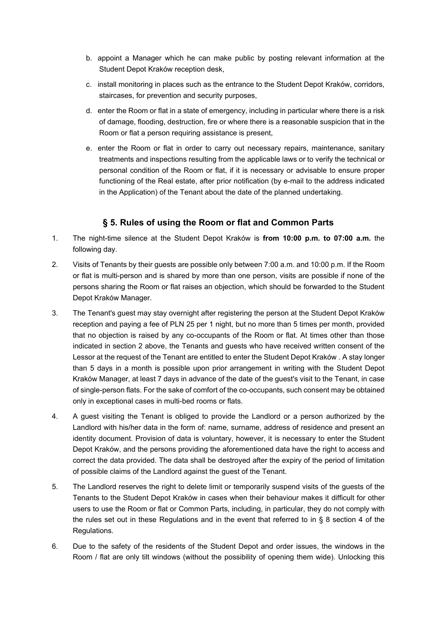- b. appoint a Manager which he can make public by posting relevant information at the Student Depot Kraków reception desk,
- c. install monitoring in places such as the entrance to the Student Depot Kraków, corridors, staircases, for prevention and security purposes,
- d. enter the Room or flat in a state of emergency, including in particular where there is a risk of damage, flooding, destruction, fire or where there is a reasonable suspicion that in the Room or flat a person requiring assistance is present,
- e. enter the Room or flat in order to carry out necessary repairs, maintenance, sanitary treatments and inspections resulting from the applicable laws or to verify the technical or personal condition of the Room or flat, if it is necessary or advisable to ensure proper functioning of the Real estate, after prior notification (by e-mail to the address indicated in the Application) of the Tenant about the date of the planned undertaking.

### **§ 5. Rules of using the Room or flat and Common Parts**

- 1. The night-time silence at the Student Depot Kraków is **from 10:00 p.m. to 07:00 a.m.** the following day.
- 2. Visits of Tenants by their guests are possible only between 7:00 a.m. and 10:00 p.m. If the Room or flat is multi-person and is shared by more than one person, visits are possible if none of the persons sharing the Room or flat raises an objection, which should be forwarded to the Student Depot Kraków Manager.
- 3. The Tenant's guest may stay overnight after registering the person at the Student Depot Kraków reception and paying a fee of PLN 25 per 1 night, but no more than 5 times per month, provided that no objection is raised by any co-occupants of the Room or flat. At times other than those indicated in section 2 above, the Tenants and guests who have received written consent of the Lessor at the request of the Tenant are entitled to enter the Student Depot Kraków . A stay longer than 5 days in a month is possible upon prior arrangement in writing with the Student Depot Kraków Manager, at least 7 days in advance of the date of the guest's visit to the Tenant, in case of single-person flats. For the sake of comfort of the co-occupants, such consent may be obtained only in exceptional cases in multi-bed rooms or flats.
- 4. A guest visiting the Tenant is obliged to provide the Landlord or a person authorized by the Landlord with his/her data in the form of: name, surname, address of residence and present an identity document. Provision of data is voluntary, however, it is necessary to enter the Student Depot Kraków, and the persons providing the aforementioned data have the right to access and correct the data provided. The data shall be destroyed after the expiry of the period of limitation of possible claims of the Landlord against the guest of the Tenant.
- 5. The Landlord reserves the right to delete limit or temporarily suspend visits of the guests of the Tenants to the Student Depot Kraków in cases when their behaviour makes it difficult for other users to use the Room or flat or Common Parts, including, in particular, they do not comply with the rules set out in these Regulations and in the event that referred to in § 8 section 4 of the Regulations.
- 6. Due to the safety of the residents of the Student Depot and order issues, the windows in the Room / flat are only tilt windows (without the possibility of opening them wide). Unlocking this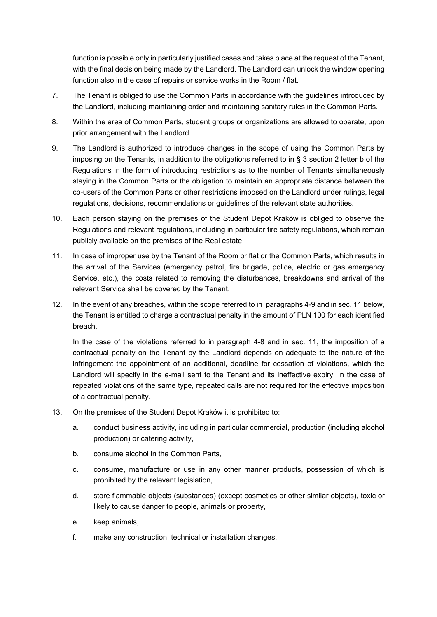function is possible only in particularly justified cases and takes place at the request of the Tenant, with the final decision being made by the Landlord. The Landlord can unlock the window opening function also in the case of repairs or service works in the Room / flat.

- 7. The Tenant is obliged to use the Common Parts in accordance with the guidelines introduced by the Landlord, including maintaining order and maintaining sanitary rules in the Common Parts.
- 8. Within the area of Common Parts, student groups or organizations are allowed to operate, upon prior arrangement with the Landlord.
- 9. The Landlord is authorized to introduce changes in the scope of using the Common Parts by imposing on the Tenants, in addition to the obligations referred to in § 3 section 2 letter b of the Regulations in the form of introducing restrictions as to the number of Tenants simultaneously staying in the Common Parts or the obligation to maintain an appropriate distance between the co-users of the Common Parts or other restrictions imposed on the Landlord under rulings, legal regulations, decisions, recommendations or guidelines of the relevant state authorities.
- 10. Each person staying on the premises of the Student Depot Kraków is obliged to observe the Regulations and relevant regulations, including in particular fire safety regulations, which remain publicly available on the premises of the Real estate.
- 11. In case of improper use by the Tenant of the Room or flat or the Common Parts, which results in the arrival of the Services (emergency patrol, fire brigade, police, electric or gas emergency Service, etc.), the costs related to removing the disturbances, breakdowns and arrival of the relevant Service shall be covered by the Tenant.
- 12. In the event of any breaches, within the scope referred to in paragraphs 4-9 and in sec. 11 below, the Tenant is entitled to charge a contractual penalty in the amount of PLN 100 for each identified breach.

In the case of the violations referred to in paragraph 4-8 and in sec. 11, the imposition of a contractual penalty on the Tenant by the Landlord depends on adequate to the nature of the infringement the appointment of an additional, deadline for cessation of violations, which the Landlord will specify in the e-mail sent to the Tenant and its ineffective expiry. In the case of repeated violations of the same type, repeated calls are not required for the effective imposition of a contractual penalty.

- 13. On the premises of the Student Depot Kraków it is prohibited to:
	- a. conduct business activity, including in particular commercial, production (including alcohol production) or catering activity,
	- b. consume alcohol in the Common Parts,
	- c. consume, manufacture or use in any other manner products, possession of which is prohibited by the relevant legislation,
	- d. store flammable objects (substances) (except cosmetics or other similar objects), toxic or likely to cause danger to people, animals or property,
	- e. keep animals,
	- f. make any construction, technical or installation changes,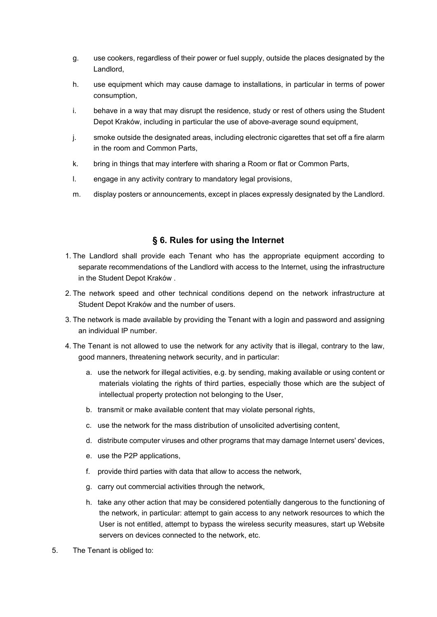- g. use cookers, regardless of their power or fuel supply, outside the places designated by the Landlord,
- h. use equipment which may cause damage to installations, in particular in terms of power consumption,
- i. behave in a way that may disrupt the residence, study or rest of others using the Student Depot Kraków, including in particular the use of above-average sound equipment,
- j. smoke outside the designated areas, including electronic cigarettes that set off a fire alarm in the room and Common Parts,
- k. bring in things that may interfere with sharing a Room or flat or Common Parts,
- l. engage in any activity contrary to mandatory legal provisions,
- m. display posters or announcements, except in places expressly designated by the Landlord.

### **§ 6. Rules for using the Internet**

- 1. The Landlord shall provide each Tenant who has the appropriate equipment according to separate recommendations of the Landlord with access to the Internet, using the infrastructure in the Student Depot Kraków .
- 2. The network speed and other technical conditions depend on the network infrastructure at Student Depot Kraków and the number of users.
- 3. The network is made available by providing the Tenant with a login and password and assigning an individual IP number.
- 4. The Tenant is not allowed to use the network for any activity that is illegal, contrary to the law, good manners, threatening network security, and in particular:
	- a. use the network for illegal activities, e.g. by sending, making available or using content or materials violating the rights of third parties, especially those which are the subject of intellectual property protection not belonging to the User,
	- b. transmit or make available content that may violate personal rights,
	- c. use the network for the mass distribution of unsolicited advertising content,
	- d. distribute computer viruses and other programs that may damage Internet users' devices,
	- e. use the P2P applications,
	- f. provide third parties with data that allow to access the network,
	- g. carry out commercial activities through the network,
	- h. take any other action that may be considered potentially dangerous to the functioning of the network, in particular: attempt to gain access to any network resources to which the User is not entitled, attempt to bypass the wireless security measures, start up Website servers on devices connected to the network, etc.
- 5. The Tenant is obliged to: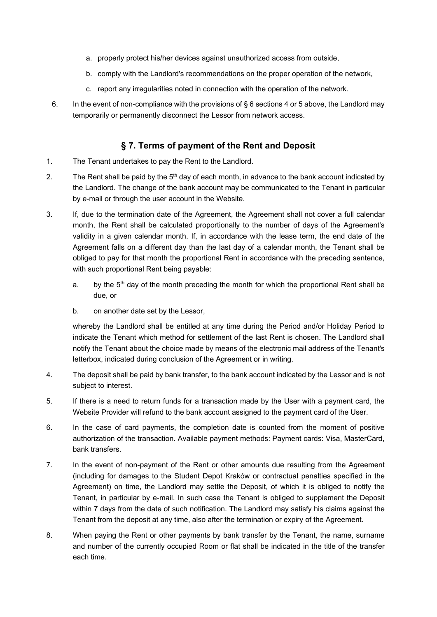- a. properly protect his/her devices against unauthorized access from outside,
- b. comply with the Landlord's recommendations on the proper operation of the network,
- c. report any irregularities noted in connection with the operation of the network.
- 6. In the event of non-compliance with the provisions of § 6 sections 4 or 5 above, the Landlord may temporarily or permanently disconnect the Lessor from network access.

### **§ 7. Terms of payment of the Rent and Deposit**

- 1. The Tenant undertakes to pay the Rent to the Landlord.
- 2. The Rent shall be paid by the  $5<sup>th</sup>$  day of each month, in advance to the bank account indicated by the Landlord. The change of the bank account may be communicated to the Tenant in particular by e-mail or through the user account in the Website.
- 3. If, due to the termination date of the Agreement, the Agreement shall not cover a full calendar month, the Rent shall be calculated proportionally to the number of days of the Agreement's validity in a given calendar month. If, in accordance with the lease term, the end date of the Agreement falls on a different day than the last day of a calendar month, the Tenant shall be obliged to pay for that month the proportional Rent in accordance with the preceding sentence, with such proportional Rent being payable:
	- a. by the  $5<sup>th</sup>$  day of the month preceding the month for which the proportional Rent shall be due, or
	- b. on another date set by the Lessor,

whereby the Landlord shall be entitled at any time during the Period and/or Holiday Period to indicate the Tenant which method for settlement of the last Rent is chosen. The Landlord shall notify the Tenant about the choice made by means of the electronic mail address of the Tenant's letterbox, indicated during conclusion of the Agreement or in writing.

- 4. The deposit shall be paid by bank transfer, to the bank account indicated by the Lessor and is not subject to interest.
- 5. If there is a need to return funds for a transaction made by the User with a payment card, the Website Provider will refund to the bank account assigned to the payment card of the User.
- 6. In the case of card payments, the completion date is counted from the moment of positive authorization of the transaction. Available payment methods: Payment cards: Visa, MasterCard, bank transfers.
- 7. In the event of non-payment of the Rent or other amounts due resulting from the Agreement (including for damages to the Student Depot Kraków or contractual penalties specified in the Agreement) on time, the Landlord may settle the Deposit, of which it is obliged to notify the Tenant, in particular by e-mail. In such case the Tenant is obliged to supplement the Deposit within 7 days from the date of such notification. The Landlord may satisfy his claims against the Tenant from the deposit at any time, also after the termination or expiry of the Agreement.
- 8. When paying the Rent or other payments by bank transfer by the Tenant, the name, surname and number of the currently occupied Room or flat shall be indicated in the title of the transfer each time.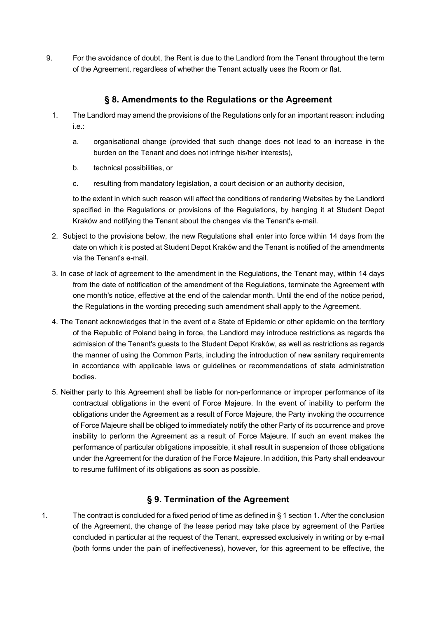9. For the avoidance of doubt, the Rent is due to the Landlord from the Tenant throughout the term of the Agreement, regardless of whether the Tenant actually uses the Room or flat.

### **§ 8. Amendments to the Regulations or the Agreement**

- 1. The Landlord may amend the provisions of the Regulations only for an important reason: including i.e.:
	- a. organisational change (provided that such change does not lead to an increase in the burden on the Tenant and does not infringe his/her interests),
	- b. technical possibilities, or
	- c. resulting from mandatory legislation, a court decision or an authority decision,

to the extent in which such reason will affect the conditions of rendering Websites by the Landlord specified in the Regulations or provisions of the Regulations, by hanging it at Student Depot Kraków and notifying the Tenant about the changes via the Tenant's e-mail.

- 2. Subject to the provisions below, the new Regulations shall enter into force within 14 days from the date on which it is posted at Student Depot Kraków and the Tenant is notified of the amendments via the Tenant's e-mail.
- 3. In case of lack of agreement to the amendment in the Regulations, the Tenant may, within 14 days from the date of notification of the amendment of the Regulations, terminate the Agreement with one month's notice, effective at the end of the calendar month. Until the end of the notice period, the Regulations in the wording preceding such amendment shall apply to the Agreement.
- 4. The Tenant acknowledges that in the event of a State of Epidemic or other epidemic on the territory of the Republic of Poland being in force, the Landlord may introduce restrictions as regards the admission of the Tenant's guests to the Student Depot Kraków, as well as restrictions as regards the manner of using the Common Parts, including the introduction of new sanitary requirements in accordance with applicable laws or guidelines or recommendations of state administration bodies.
- 5. Neither party to this Agreement shall be liable for non-performance or improper performance of its contractual obligations in the event of Force Majeure. In the event of inability to perform the obligations under the Agreement as a result of Force Majeure, the Party invoking the occurrence of Force Majeure shall be obliged to immediately notify the other Party of its occurrence and prove inability to perform the Agreement as a result of Force Majeure. If such an event makes the performance of particular obligations impossible, it shall result in suspension of those obligations under the Agreement for the duration of the Force Majeure. In addition, this Party shall endeavour to resume fulfilment of its obligations as soon as possible.

## **§ 9. Termination of the Agreement**

1. The contract is concluded for a fixed period of time as defined in § 1 section 1. After the conclusion of the Agreement, the change of the lease period may take place by agreement of the Parties concluded in particular at the request of the Tenant, expressed exclusively in writing or by e-mail (both forms under the pain of ineffectiveness), however, for this agreement to be effective, the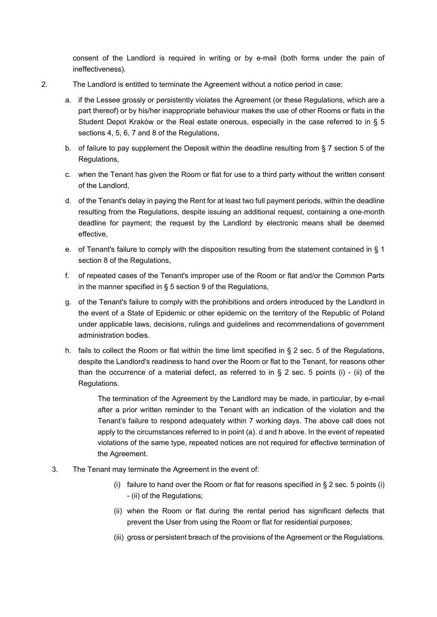consent of the Landlord is required in writing or by e-mail (both forms under the pain of ineffectiveness).

- 2. The Landlord is entitled to terminate the Agreement without a notice period in case:
	- a. if the Lessee grossly or persistently violates the Agreement (or these Regulations, which are a part thereof) or by his/her inappropriate behaviour makes the use of other Rooms or flats in the Student Depot Kraków or the Real estate onerous, especially in the case referred to in § 5 sections 4, 5, 6, 7 and 8 of the Regulations,
	- b. of failure to pay supplement the Deposit within the deadline resulting from § 7 section 5 of the Regulations,
	- c. when the Tenant has given the Room or flat for use to a third party without the written consent of the Landlord,
	- d. of the Tenant's delay in paying the Rent for at least two full payment periods, within the deadline resulting from the Regulations, despite issuing an additional request, containing a one-month deadline for payment; the request by the Landlord by electronic means shall be deemed effective,
	- e. of Tenant's failure to comply with the disposition resulting from the statement contained in § 1 section 8 of the Regulations,
	- f. of repeated cases of the Tenant's improper use of the Room or flat and/or the Common Parts in the manner specified in § 5 section 9 of the Regulations,
	- g. of the Tenant's failure to comply with the prohibitions and orders introduced by the Landlord in the event of a State of Epidemic or other epidemic on the territory of the Republic of Poland under applicable laws, decisions, rulings and guidelines and recommendations of government administration bodies.
	- h. fails to collect the Room or flat within the time limit specified in § 2 sec. 5 of the Regulations, despite the Landlord's readiness to hand over the Room or flat to the Tenant, for reasons other than the occurrence of a material defect, as referred to in  $\S$  2 sec. 5 points (i) - (ii) of the Regulations.

The termination of the Agreement by the Landlord may be made, in particular, by e-mail after a prior written reminder to the Tenant with an indication of the violation and the Tenant's failure to respond adequately within 7 working days. The above call does not apply to the circumstances referred to in point (a). d and h above. In the event of repeated violations of the same type, repeated notices are not required for effective termination of the Agreement.

- 3. The Tenant may terminate the Agreement in the event of:
	- (i) failure to hand over the Room or flat for reasons specified in  $\S 2$  sec. 5 points (i) - (ii) of the Regulations;
	- (ii) when the Room or flat during the rental period has significant defects that prevent the User from using the Room or flat for residential purposes;
	- (iii) gross or persistent breach of the provisions of the Agreement or the Regulations.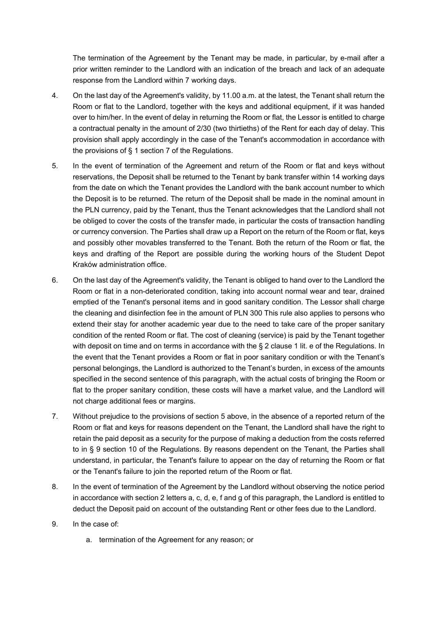The termination of the Agreement by the Tenant may be made, in particular, by e-mail after a prior written reminder to the Landlord with an indication of the breach and lack of an adequate response from the Landlord within 7 working days.

- 4. On the last day of the Agreement's validity, by 11.00 a.m. at the latest, the Tenant shall return the Room or flat to the Landlord, together with the keys and additional equipment, if it was handed over to him/her. In the event of delay in returning the Room or flat, the Lessor is entitled to charge a contractual penalty in the amount of 2/30 (two thirtieths) of the Rent for each day of delay. This provision shall apply accordingly in the case of the Tenant's accommodation in accordance with the provisions of § 1 section 7 of the Regulations.
- 5. In the event of termination of the Agreement and return of the Room or flat and keys without reservations, the Deposit shall be returned to the Tenant by bank transfer within 14 working days from the date on which the Tenant provides the Landlord with the bank account number to which the Deposit is to be returned. The return of the Deposit shall be made in the nominal amount in the PLN currency, paid by the Tenant, thus the Tenant acknowledges that the Landlord shall not be obliged to cover the costs of the transfer made, in particular the costs of transaction handling or currency conversion. The Parties shall draw up a Report on the return of the Room or flat, keys and possibly other movables transferred to the Tenant. Both the return of the Room or flat, the keys and drafting of the Report are possible during the working hours of the Student Depot Kraków administration office.
- 6. On the last day of the Agreement's validity, the Tenant is obliged to hand over to the Landlord the Room or flat in a non-deteriorated condition, taking into account normal wear and tear, drained emptied of the Tenant's personal items and in good sanitary condition. The Lessor shall charge the cleaning and disinfection fee in the amount of PLN 300 This rule also applies to persons who extend their stay for another academic year due to the need to take care of the proper sanitary condition of the rented Room or flat. The cost of cleaning (service) is paid by the Tenant together with deposit on time and on terms in accordance with the § 2 clause 1 lit. e of the Regulations. In the event that the Tenant provides a Room or flat in poor sanitary condition or with the Tenant's personal belongings, the Landlord is authorized to the Tenant's burden, in excess of the amounts specified in the second sentence of this paragraph, with the actual costs of bringing the Room or flat to the proper sanitary condition, these costs will have a market value, and the Landlord will not charge additional fees or margins.
- 7. Without prejudice to the provisions of section 5 above, in the absence of a reported return of the Room or flat and keys for reasons dependent on the Tenant, the Landlord shall have the right to retain the paid deposit as a security for the purpose of making a deduction from the costs referred to in § 9 section 10 of the Regulations. By reasons dependent on the Tenant, the Parties shall understand, in particular, the Tenant's failure to appear on the day of returning the Room or flat or the Tenant's failure to join the reported return of the Room or flat.
- 8. In the event of termination of the Agreement by the Landlord without observing the notice period in accordance with section 2 letters a, c, d, e, f and g of this paragraph, the Landlord is entitled to deduct the Deposit paid on account of the outstanding Rent or other fees due to the Landlord.
- 9. In the case of:
	- a. termination of the Agreement for any reason; or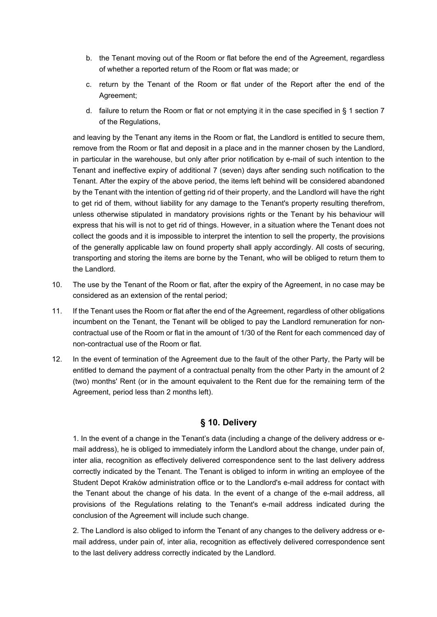- b. the Tenant moving out of the Room or flat before the end of the Agreement, regardless of whether a reported return of the Room or flat was made; or
- c. return by the Tenant of the Room or flat under of the Report after the end of the Agreement;
- d. failure to return the Room or flat or not emptying it in the case specified in § 1 section 7 of the Regulations,

and leaving by the Tenant any items in the Room or flat, the Landlord is entitled to secure them, remove from the Room or flat and deposit in a place and in the manner chosen by the Landlord, in particular in the warehouse, but only after prior notification by e-mail of such intention to the Tenant and ineffective expiry of additional 7 (seven) days after sending such notification to the Tenant. After the expiry of the above period, the items left behind will be considered abandoned by the Tenant with the intention of getting rid of their property, and the Landlord will have the right to get rid of them, without liability for any damage to the Tenant's property resulting therefrom, unless otherwise stipulated in mandatory provisions rights or the Tenant by his behaviour will express that his will is not to get rid of things. However, in a situation where the Tenant does not collect the goods and it is impossible to interpret the intention to sell the property, the provisions of the generally applicable law on found property shall apply accordingly. All costs of securing, transporting and storing the items are borne by the Tenant, who will be obliged to return them to the Landlord.

- 10. The use by the Tenant of the Room or flat, after the expiry of the Agreement, in no case may be considered as an extension of the rental period;
- 11. If the Tenant uses the Room or flat after the end of the Agreement, regardless of other obligations incumbent on the Tenant, the Tenant will be obliged to pay the Landlord remuneration for noncontractual use of the Room or flat in the amount of 1/30 of the Rent for each commenced day of non-contractual use of the Room or flat.
- 12. In the event of termination of the Agreement due to the fault of the other Party, the Party will be entitled to demand the payment of a contractual penalty from the other Party in the amount of 2 (two) months' Rent (or in the amount equivalent to the Rent due for the remaining term of the Agreement, period less than 2 months left).

### **§ 10. Delivery**

1. In the event of a change in the Tenant's data (including a change of the delivery address or email address), he is obliged to immediately inform the Landlord about the change, under pain of, inter alia, recognition as effectively delivered correspondence sent to the last delivery address correctly indicated by the Tenant. The Tenant is obliged to inform in writing an employee of the Student Depot Kraków administration office or to the Landlord's e-mail address for contact with the Tenant about the change of his data. In the event of a change of the e-mail address, all provisions of the Regulations relating to the Tenant's e-mail address indicated during the conclusion of the Agreement will include such change.

2. The Landlord is also obliged to inform the Tenant of any changes to the delivery address or email address, under pain of, inter alia, recognition as effectively delivered correspondence sent to the last delivery address correctly indicated by the Landlord.